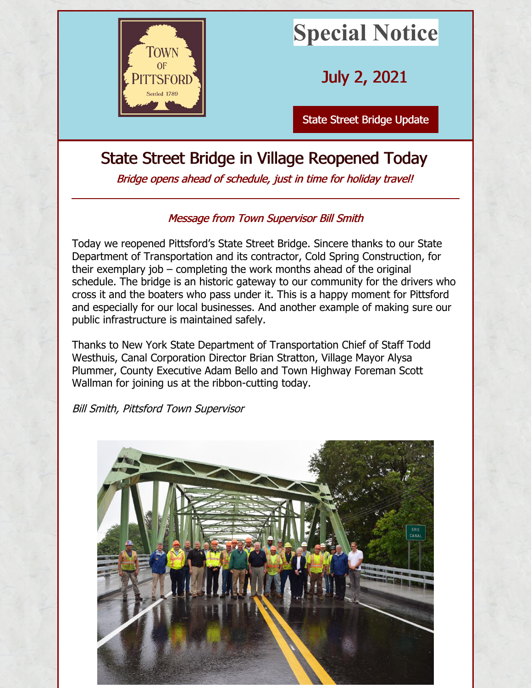

## **Special Notice**

July 2, 2021

State Street Bridge [Update](http://www.townofpittsford.org)

## State Street Bridge in Village Reopened Today

Bridge opens ahead of schedule, just in time for holiday travel!

## Message from Town Supervisor Bill Smith

Today we reopened Pittsford's State Street Bridge. Sincere thanks to our State Department of Transportation and its contractor, Cold Spring Construction, for their exemplary job – completing the work months ahead of the original schedule. The bridge is an historic gateway to our community for the drivers who cross it and the boaters who pass under it. This is a happy moment for Pittsford and especially for our local businesses. And another example of making sure our public infrastructure is maintained safely.

Thanks to New York State Department of Transportation Chief of Staff Todd Westhuis, Canal Corporation Director Brian Stratton, Village Mayor Alysa Plummer, County Executive Adam Bello and Town Highway Foreman Scott Wallman for joining us at the ribbon-cutting today.

Bill Smith, Pittsford Town Supervisor